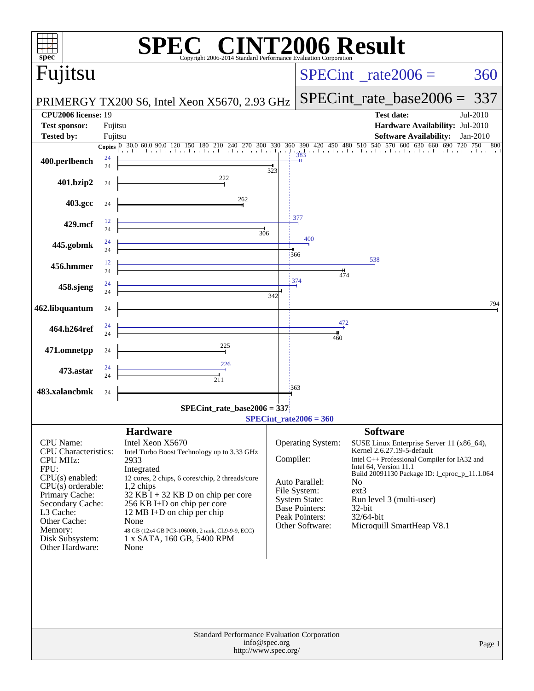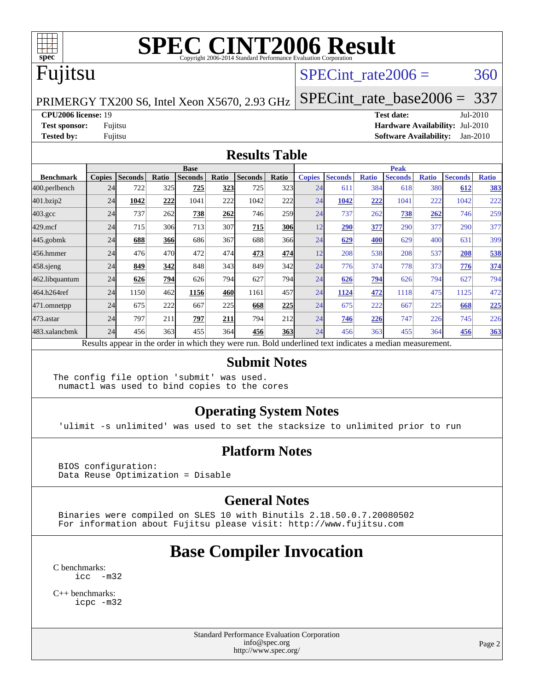

# **[SPEC CINT2006 Result](http://www.spec.org/auto/cpu2006/Docs/result-fields.html#SPECCINT2006Result)**

# Fujitsu

#### SPECint rate $2006 = 360$

[SPECint\\_rate\\_base2006 =](http://www.spec.org/auto/cpu2006/Docs/result-fields.html#SPECintratebase2006) 337

PRIMERGY TX200 S6, Intel Xeon X5670, 2.93 GHz

**[CPU2006 license:](http://www.spec.org/auto/cpu2006/Docs/result-fields.html#CPU2006license)** 19 **[Test date:](http://www.spec.org/auto/cpu2006/Docs/result-fields.html#Testdate)** Jul-2010

**[Test sponsor:](http://www.spec.org/auto/cpu2006/Docs/result-fields.html#Testsponsor)** Fujitsu **[Hardware Availability:](http://www.spec.org/auto/cpu2006/Docs/result-fields.html#HardwareAvailability)** Jul-2010 **[Tested by:](http://www.spec.org/auto/cpu2006/Docs/result-fields.html#Testedby)** Fujitsu **[Software Availability:](http://www.spec.org/auto/cpu2006/Docs/result-fields.html#SoftwareAvailability)** Jan-2010

#### **[Results Table](http://www.spec.org/auto/cpu2006/Docs/result-fields.html#ResultsTable)**

|                    | <b>Base</b>   |                |       |                |       |                                                                                                          |            | <b>Peak</b>   |                |              |                |              |                |              |
|--------------------|---------------|----------------|-------|----------------|-------|----------------------------------------------------------------------------------------------------------|------------|---------------|----------------|--------------|----------------|--------------|----------------|--------------|
| <b>Benchmark</b>   | <b>Copies</b> | <b>Seconds</b> | Ratio | <b>Seconds</b> | Ratio | <b>Seconds</b>                                                                                           | Ratio      | <b>Copies</b> | <b>Seconds</b> | <b>Ratio</b> | <b>Seconds</b> | <b>Ratio</b> | <b>Seconds</b> | <b>Ratio</b> |
| 400.perlbench      | 24            | 722            | 325   | 725            | 323   | 725                                                                                                      | 323        | 24            | 611            | 384          | 618            | 380          | 612            | 383          |
| 401.bzip2          | 24            | 1042           | 222   | 1041           | 222   | 1042                                                                                                     | 222        | 24            | 1042           | 222          | 1041           | 222          | 1042           | 222          |
| $403.\mathrm{gcc}$ | 24            | 737            | 262   | 738            | 262   | 746                                                                                                      | 259        | 24            | 737            | 262          | 738            | 262          | 746            | 259          |
| $429$ .mcf         | 24            | 715            | 306   | 713            | 307   | 715                                                                                                      | 306        | 12            | 290            | 377          | 290            | 377          | 290            | 377          |
| $445$ .gobmk       | 24            | 688            | 366   | 686            | 367   | 688                                                                                                      | 366        | 24            | 629            | 400          | 629            | 400          | 631            | 399          |
| 456.hmmer          | 24            | 476            | 470   | 472            | 474   | 473                                                                                                      | 474        | 12            | 208            | 538          | 208            | 537          | 208            | 538          |
| 458 sjeng          | 24            | 849            | 342   | 848            | 343   | 849                                                                                                      | 342        | 24            | 776            | 374          | 778            | 373          | 776            | 374          |
| 462.libquantum     | 24            | 626            | 794   | 626            | 794   | 627                                                                                                      | 794        | 24            | 626            | 794          | 626            | 794          | 627            | 794          |
| 464.h264ref        | 24            | 1150           | 462   | 1156           | 460   | 1161                                                                                                     | 457        | 24            | 1124           | 472          | 1118           | 475          | 1125           | 472          |
| 471.omnetpp        | 24            | 675            | 222   | 667            | 225   | 668                                                                                                      | 225        | 24            | 675            | 222          | 667            | 225          | 668            | 225          |
| $473.$ astar       | 24            | 797            | 211   | 797            | 211   | 794                                                                                                      | 212        | 24            | 746            | 226          | 747            | 226          | 745            | 226          |
| 483.xalancbmk      | 24            | 456            | 363   | 455            | 364   | 456                                                                                                      | <b>363</b> | 24            | 456            | 363          | 455            | 364          | 456            | 363          |
|                    |               |                |       |                |       | Results appear in the order in which they were run. Bold underlined text indicates a median measurement. |            |               |                |              |                |              |                |              |

#### **[Submit Notes](http://www.spec.org/auto/cpu2006/Docs/result-fields.html#SubmitNotes)**

The config file option 'submit' was used. numactl was used to bind copies to the cores

#### **[Operating System Notes](http://www.spec.org/auto/cpu2006/Docs/result-fields.html#OperatingSystemNotes)**

'ulimit -s unlimited' was used to set the stacksize to unlimited prior to run

#### **[Platform Notes](http://www.spec.org/auto/cpu2006/Docs/result-fields.html#PlatformNotes)**

 BIOS configuration: Data Reuse Optimization = Disable

#### **[General Notes](http://www.spec.org/auto/cpu2006/Docs/result-fields.html#GeneralNotes)**

 Binaries were compiled on SLES 10 with Binutils 2.18.50.0.7.20080502 For information about Fujitsu please visit: <http://www.fujitsu.com>

## **[Base Compiler Invocation](http://www.spec.org/auto/cpu2006/Docs/result-fields.html#BaseCompilerInvocation)**

[C benchmarks](http://www.spec.org/auto/cpu2006/Docs/result-fields.html#Cbenchmarks): [icc -m32](http://www.spec.org/cpu2006/results/res2010q3/cpu2006-20100802-12772.flags.html#user_CCbase_intel_icc_32bit_5ff4a39e364c98233615fdd38438c6f2)

[C++ benchmarks:](http://www.spec.org/auto/cpu2006/Docs/result-fields.html#CXXbenchmarks) [icpc -m32](http://www.spec.org/cpu2006/results/res2010q3/cpu2006-20100802-12772.flags.html#user_CXXbase_intel_icpc_32bit_4e5a5ef1a53fd332b3c49e69c3330699)

> Standard Performance Evaluation Corporation [info@spec.org](mailto:info@spec.org) <http://www.spec.org/>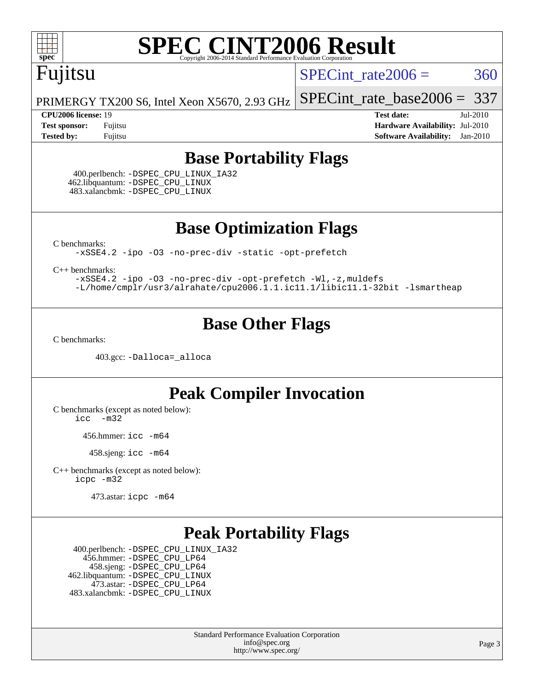

# **[SPEC CINT2006 Result](http://www.spec.org/auto/cpu2006/Docs/result-fields.html#SPECCINT2006Result)**

# Fujitsu

SPECint rate $2006 = 360$ 

[SPECint\\_rate\\_base2006 =](http://www.spec.org/auto/cpu2006/Docs/result-fields.html#SPECintratebase2006) 337

PRIMERGY TX200 S6, Intel Xeon X5670, 2.93 GHz

**[CPU2006 license:](http://www.spec.org/auto/cpu2006/Docs/result-fields.html#CPU2006license)** 19 **[Test date:](http://www.spec.org/auto/cpu2006/Docs/result-fields.html#Testdate)** Jul-2010 **[Test sponsor:](http://www.spec.org/auto/cpu2006/Docs/result-fields.html#Testsponsor)** Fujitsu **[Hardware Availability:](http://www.spec.org/auto/cpu2006/Docs/result-fields.html#HardwareAvailability)** Jul-2010 **[Tested by:](http://www.spec.org/auto/cpu2006/Docs/result-fields.html#Testedby)** Fujitsu **[Software Availability:](http://www.spec.org/auto/cpu2006/Docs/result-fields.html#SoftwareAvailability)** Jan-2010

### **[Base Portability Flags](http://www.spec.org/auto/cpu2006/Docs/result-fields.html#BasePortabilityFlags)**

 400.perlbench: [-DSPEC\\_CPU\\_LINUX\\_IA32](http://www.spec.org/cpu2006/results/res2010q3/cpu2006-20100802-12772.flags.html#b400.perlbench_baseCPORTABILITY_DSPEC_CPU_LINUX_IA32) 462.libquantum: [-DSPEC\\_CPU\\_LINUX](http://www.spec.org/cpu2006/results/res2010q3/cpu2006-20100802-12772.flags.html#b462.libquantum_baseCPORTABILITY_DSPEC_CPU_LINUX) 483.xalancbmk: [-DSPEC\\_CPU\\_LINUX](http://www.spec.org/cpu2006/results/res2010q3/cpu2006-20100802-12772.flags.html#b483.xalancbmk_baseCXXPORTABILITY_DSPEC_CPU_LINUX)

**[Base Optimization Flags](http://www.spec.org/auto/cpu2006/Docs/result-fields.html#BaseOptimizationFlags)**

[C benchmarks](http://www.spec.org/auto/cpu2006/Docs/result-fields.html#Cbenchmarks):

[-xSSE4.2](http://www.spec.org/cpu2006/results/res2010q3/cpu2006-20100802-12772.flags.html#user_CCbase_f-xSSE42_f91528193cf0b216347adb8b939d4107) [-ipo](http://www.spec.org/cpu2006/results/res2010q3/cpu2006-20100802-12772.flags.html#user_CCbase_f-ipo) [-O3](http://www.spec.org/cpu2006/results/res2010q3/cpu2006-20100802-12772.flags.html#user_CCbase_f-O3) [-no-prec-div](http://www.spec.org/cpu2006/results/res2010q3/cpu2006-20100802-12772.flags.html#user_CCbase_f-no-prec-div) [-static](http://www.spec.org/cpu2006/results/res2010q3/cpu2006-20100802-12772.flags.html#user_CCbase_f-static) [-opt-prefetch](http://www.spec.org/cpu2006/results/res2010q3/cpu2006-20100802-12772.flags.html#user_CCbase_f-opt-prefetch)

[C++ benchmarks:](http://www.spec.org/auto/cpu2006/Docs/result-fields.html#CXXbenchmarks)

[-xSSE4.2](http://www.spec.org/cpu2006/results/res2010q3/cpu2006-20100802-12772.flags.html#user_CXXbase_f-xSSE42_f91528193cf0b216347adb8b939d4107) [-ipo](http://www.spec.org/cpu2006/results/res2010q3/cpu2006-20100802-12772.flags.html#user_CXXbase_f-ipo) [-O3](http://www.spec.org/cpu2006/results/res2010q3/cpu2006-20100802-12772.flags.html#user_CXXbase_f-O3) [-no-prec-div](http://www.spec.org/cpu2006/results/res2010q3/cpu2006-20100802-12772.flags.html#user_CXXbase_f-no-prec-div) [-opt-prefetch](http://www.spec.org/cpu2006/results/res2010q3/cpu2006-20100802-12772.flags.html#user_CXXbase_f-opt-prefetch) [-Wl,-z,muldefs](http://www.spec.org/cpu2006/results/res2010q3/cpu2006-20100802-12772.flags.html#user_CXXbase_link_force_multiple1_74079c344b956b9658436fd1b6dd3a8a) [-L/home/cmplr/usr3/alrahate/cpu2006.1.1.ic11.1/libic11.1-32bit -lsmartheap](http://www.spec.org/cpu2006/results/res2010q3/cpu2006-20100802-12772.flags.html#user_CXXbase_SmartHeap_d86dffe4a79b79ef8890d5cce17030c3)

## **[Base Other Flags](http://www.spec.org/auto/cpu2006/Docs/result-fields.html#BaseOtherFlags)**

[C benchmarks](http://www.spec.org/auto/cpu2006/Docs/result-fields.html#Cbenchmarks):

403.gcc: [-Dalloca=\\_alloca](http://www.spec.org/cpu2006/results/res2010q3/cpu2006-20100802-12772.flags.html#b403.gcc_baseEXTRA_CFLAGS_Dalloca_be3056838c12de2578596ca5467af7f3)

### **[Peak Compiler Invocation](http://www.spec.org/auto/cpu2006/Docs/result-fields.html#PeakCompilerInvocation)**

[C benchmarks \(except as noted below\)](http://www.spec.org/auto/cpu2006/Docs/result-fields.html#Cbenchmarksexceptasnotedbelow): [icc -m32](http://www.spec.org/cpu2006/results/res2010q3/cpu2006-20100802-12772.flags.html#user_CCpeak_intel_icc_32bit_5ff4a39e364c98233615fdd38438c6f2)

456.hmmer: [icc -m64](http://www.spec.org/cpu2006/results/res2010q3/cpu2006-20100802-12772.flags.html#user_peakCCLD456_hmmer_intel_icc_64bit_bda6cc9af1fdbb0edc3795bac97ada53)

 $458 \text{.}$ sjeng: icc  $-m64$ 

[C++ benchmarks \(except as noted below\):](http://www.spec.org/auto/cpu2006/Docs/result-fields.html#CXXbenchmarksexceptasnotedbelow) [icpc -m32](http://www.spec.org/cpu2006/results/res2010q3/cpu2006-20100802-12772.flags.html#user_CXXpeak_intel_icpc_32bit_4e5a5ef1a53fd332b3c49e69c3330699)

473.astar: [icpc -m64](http://www.spec.org/cpu2006/results/res2010q3/cpu2006-20100802-12772.flags.html#user_peakCXXLD473_astar_intel_icpc_64bit_fc66a5337ce925472a5c54ad6a0de310)

### **[Peak Portability Flags](http://www.spec.org/auto/cpu2006/Docs/result-fields.html#PeakPortabilityFlags)**

 400.perlbench: [-DSPEC\\_CPU\\_LINUX\\_IA32](http://www.spec.org/cpu2006/results/res2010q3/cpu2006-20100802-12772.flags.html#b400.perlbench_peakCPORTABILITY_DSPEC_CPU_LINUX_IA32) 456.hmmer: [-DSPEC\\_CPU\\_LP64](http://www.spec.org/cpu2006/results/res2010q3/cpu2006-20100802-12772.flags.html#suite_peakCPORTABILITY456_hmmer_DSPEC_CPU_LP64) 458.sjeng: [-DSPEC\\_CPU\\_LP64](http://www.spec.org/cpu2006/results/res2010q3/cpu2006-20100802-12772.flags.html#suite_peakCPORTABILITY458_sjeng_DSPEC_CPU_LP64) 462.libquantum: [-DSPEC\\_CPU\\_LINUX](http://www.spec.org/cpu2006/results/res2010q3/cpu2006-20100802-12772.flags.html#b462.libquantum_peakCPORTABILITY_DSPEC_CPU_LINUX) 473.astar: [-DSPEC\\_CPU\\_LP64](http://www.spec.org/cpu2006/results/res2010q3/cpu2006-20100802-12772.flags.html#suite_peakCXXPORTABILITY473_astar_DSPEC_CPU_LP64) 483.xalancbmk: [-DSPEC\\_CPU\\_LINUX](http://www.spec.org/cpu2006/results/res2010q3/cpu2006-20100802-12772.flags.html#b483.xalancbmk_peakCXXPORTABILITY_DSPEC_CPU_LINUX)

> Standard Performance Evaluation Corporation [info@spec.org](mailto:info@spec.org) <http://www.spec.org/>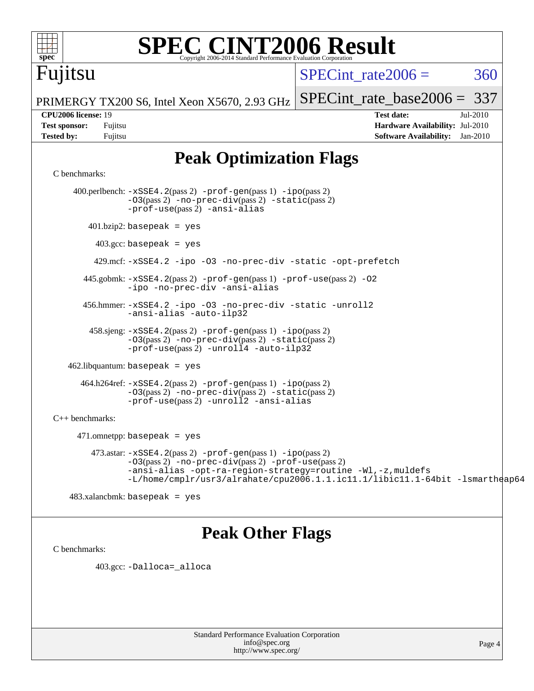

# **[SPEC CINT2006 Result](http://www.spec.org/auto/cpu2006/Docs/result-fields.html#SPECCINT2006Result)**

# Fujitsu

SPECint rate $2006 = 360$ 

[SPECint\\_rate\\_base2006 =](http://www.spec.org/auto/cpu2006/Docs/result-fields.html#SPECintratebase2006) 337

PRIMERGY TX200 S6, Intel Xeon X5670, 2.93 GHz

**[CPU2006 license:](http://www.spec.org/auto/cpu2006/Docs/result-fields.html#CPU2006license)** 19 **[Test date:](http://www.spec.org/auto/cpu2006/Docs/result-fields.html#Testdate)** Jul-2010 **[Test sponsor:](http://www.spec.org/auto/cpu2006/Docs/result-fields.html#Testsponsor)** Fujitsu **[Hardware Availability:](http://www.spec.org/auto/cpu2006/Docs/result-fields.html#HardwareAvailability)** Jul-2010 **[Tested by:](http://www.spec.org/auto/cpu2006/Docs/result-fields.html#Testedby)** Fujitsu **[Software Availability:](http://www.spec.org/auto/cpu2006/Docs/result-fields.html#SoftwareAvailability)** Jan-2010

## **[Peak Optimization Flags](http://www.spec.org/auto/cpu2006/Docs/result-fields.html#PeakOptimizationFlags)**

#### [C benchmarks](http://www.spec.org/auto/cpu2006/Docs/result-fields.html#Cbenchmarks):

 400.perlbench: [-xSSE4.2](http://www.spec.org/cpu2006/results/res2010q3/cpu2006-20100802-12772.flags.html#user_peakPASS2_CFLAGSPASS2_LDCFLAGS400_perlbench_f-xSSE42_f91528193cf0b216347adb8b939d4107)(pass 2) [-prof-gen](http://www.spec.org/cpu2006/results/res2010q3/cpu2006-20100802-12772.flags.html#user_peakPASS1_CFLAGSPASS1_LDCFLAGS400_perlbench_prof_gen_e43856698f6ca7b7e442dfd80e94a8fc)(pass 1) [-ipo](http://www.spec.org/cpu2006/results/res2010q3/cpu2006-20100802-12772.flags.html#user_peakPASS2_CFLAGSPASS2_LDCFLAGS400_perlbench_f-ipo)(pass 2) [-O3](http://www.spec.org/cpu2006/results/res2010q3/cpu2006-20100802-12772.flags.html#user_peakPASS2_CFLAGSPASS2_LDCFLAGS400_perlbench_f-O3)(pass 2) [-no-prec-div](http://www.spec.org/cpu2006/results/res2010q3/cpu2006-20100802-12772.flags.html#user_peakPASS2_CFLAGSPASS2_LDCFLAGS400_perlbench_f-no-prec-div)(pass 2) [-static](http://www.spec.org/cpu2006/results/res2010q3/cpu2006-20100802-12772.flags.html#user_peakPASS2_CFLAGSPASS2_LDCFLAGS400_perlbench_f-static)(pass 2) [-prof-use](http://www.spec.org/cpu2006/results/res2010q3/cpu2006-20100802-12772.flags.html#user_peakPASS2_CFLAGSPASS2_LDCFLAGS400_perlbench_prof_use_bccf7792157ff70d64e32fe3e1250b55)(pass 2) [-ansi-alias](http://www.spec.org/cpu2006/results/res2010q3/cpu2006-20100802-12772.flags.html#user_peakCOPTIMIZE400_perlbench_f-ansi-alias) 401.bzip2: basepeak = yes 403.gcc: basepeak = yes 429.mcf: [-xSSE4.2](http://www.spec.org/cpu2006/results/res2010q3/cpu2006-20100802-12772.flags.html#user_peakCOPTIMIZE429_mcf_f-xSSE42_f91528193cf0b216347adb8b939d4107) [-ipo](http://www.spec.org/cpu2006/results/res2010q3/cpu2006-20100802-12772.flags.html#user_peakCOPTIMIZE429_mcf_f-ipo) [-O3](http://www.spec.org/cpu2006/results/res2010q3/cpu2006-20100802-12772.flags.html#user_peakCOPTIMIZE429_mcf_f-O3) [-no-prec-div](http://www.spec.org/cpu2006/results/res2010q3/cpu2006-20100802-12772.flags.html#user_peakCOPTIMIZE429_mcf_f-no-prec-div) [-static](http://www.spec.org/cpu2006/results/res2010q3/cpu2006-20100802-12772.flags.html#user_peakCOPTIMIZE429_mcf_f-static) [-opt-prefetch](http://www.spec.org/cpu2006/results/res2010q3/cpu2006-20100802-12772.flags.html#user_peakCOPTIMIZE429_mcf_f-opt-prefetch) 445.gobmk: [-xSSE4.2](http://www.spec.org/cpu2006/results/res2010q3/cpu2006-20100802-12772.flags.html#user_peakPASS2_CFLAGSPASS2_LDCFLAGS445_gobmk_f-xSSE42_f91528193cf0b216347adb8b939d4107)(pass 2) [-prof-gen](http://www.spec.org/cpu2006/results/res2010q3/cpu2006-20100802-12772.flags.html#user_peakPASS1_CFLAGSPASS1_LDCFLAGS445_gobmk_prof_gen_e43856698f6ca7b7e442dfd80e94a8fc)(pass 1) [-prof-use](http://www.spec.org/cpu2006/results/res2010q3/cpu2006-20100802-12772.flags.html#user_peakPASS2_CFLAGSPASS2_LDCFLAGS445_gobmk_prof_use_bccf7792157ff70d64e32fe3e1250b55)(pass 2) [-O2](http://www.spec.org/cpu2006/results/res2010q3/cpu2006-20100802-12772.flags.html#user_peakCOPTIMIZE445_gobmk_f-O2) [-ipo](http://www.spec.org/cpu2006/results/res2010q3/cpu2006-20100802-12772.flags.html#user_peakCOPTIMIZE445_gobmk_f-ipo) [-no-prec-div](http://www.spec.org/cpu2006/results/res2010q3/cpu2006-20100802-12772.flags.html#user_peakCOPTIMIZE445_gobmk_f-no-prec-div) [-ansi-alias](http://www.spec.org/cpu2006/results/res2010q3/cpu2006-20100802-12772.flags.html#user_peakCOPTIMIZE445_gobmk_f-ansi-alias) 456.hmmer: [-xSSE4.2](http://www.spec.org/cpu2006/results/res2010q3/cpu2006-20100802-12772.flags.html#user_peakCOPTIMIZE456_hmmer_f-xSSE42_f91528193cf0b216347adb8b939d4107) [-ipo](http://www.spec.org/cpu2006/results/res2010q3/cpu2006-20100802-12772.flags.html#user_peakCOPTIMIZE456_hmmer_f-ipo) [-O3](http://www.spec.org/cpu2006/results/res2010q3/cpu2006-20100802-12772.flags.html#user_peakCOPTIMIZE456_hmmer_f-O3) [-no-prec-div](http://www.spec.org/cpu2006/results/res2010q3/cpu2006-20100802-12772.flags.html#user_peakCOPTIMIZE456_hmmer_f-no-prec-div) [-static](http://www.spec.org/cpu2006/results/res2010q3/cpu2006-20100802-12772.flags.html#user_peakCOPTIMIZE456_hmmer_f-static) [-unroll2](http://www.spec.org/cpu2006/results/res2010q3/cpu2006-20100802-12772.flags.html#user_peakCOPTIMIZE456_hmmer_f-unroll_784dae83bebfb236979b41d2422d7ec2) [-ansi-alias](http://www.spec.org/cpu2006/results/res2010q3/cpu2006-20100802-12772.flags.html#user_peakCOPTIMIZE456_hmmer_f-ansi-alias) [-auto-ilp32](http://www.spec.org/cpu2006/results/res2010q3/cpu2006-20100802-12772.flags.html#user_peakCOPTIMIZE456_hmmer_f-auto-ilp32) 458.sjeng: [-xSSE4.2](http://www.spec.org/cpu2006/results/res2010q3/cpu2006-20100802-12772.flags.html#user_peakPASS2_CFLAGSPASS2_LDCFLAGS458_sjeng_f-xSSE42_f91528193cf0b216347adb8b939d4107)(pass 2) [-prof-gen](http://www.spec.org/cpu2006/results/res2010q3/cpu2006-20100802-12772.flags.html#user_peakPASS1_CFLAGSPASS1_LDCFLAGS458_sjeng_prof_gen_e43856698f6ca7b7e442dfd80e94a8fc)(pass 1) [-ipo](http://www.spec.org/cpu2006/results/res2010q3/cpu2006-20100802-12772.flags.html#user_peakPASS2_CFLAGSPASS2_LDCFLAGS458_sjeng_f-ipo)(pass 2) [-O3](http://www.spec.org/cpu2006/results/res2010q3/cpu2006-20100802-12772.flags.html#user_peakPASS2_CFLAGSPASS2_LDCFLAGS458_sjeng_f-O3)(pass 2) [-no-prec-div](http://www.spec.org/cpu2006/results/res2010q3/cpu2006-20100802-12772.flags.html#user_peakPASS2_CFLAGSPASS2_LDCFLAGS458_sjeng_f-no-prec-div)(pass 2) [-static](http://www.spec.org/cpu2006/results/res2010q3/cpu2006-20100802-12772.flags.html#user_peakPASS2_CFLAGSPASS2_LDCFLAGS458_sjeng_f-static)(pass 2) [-prof-use](http://www.spec.org/cpu2006/results/res2010q3/cpu2006-20100802-12772.flags.html#user_peakPASS2_CFLAGSPASS2_LDCFLAGS458_sjeng_prof_use_bccf7792157ff70d64e32fe3e1250b55)(pass 2) [-unroll4](http://www.spec.org/cpu2006/results/res2010q3/cpu2006-20100802-12772.flags.html#user_peakCOPTIMIZE458_sjeng_f-unroll_4e5e4ed65b7fd20bdcd365bec371b81f) [-auto-ilp32](http://www.spec.org/cpu2006/results/res2010q3/cpu2006-20100802-12772.flags.html#user_peakCOPTIMIZE458_sjeng_f-auto-ilp32)  $462$ .libquantum: basepeak = yes 464.h264ref: [-xSSE4.2](http://www.spec.org/cpu2006/results/res2010q3/cpu2006-20100802-12772.flags.html#user_peakPASS2_CFLAGSPASS2_LDCFLAGS464_h264ref_f-xSSE42_f91528193cf0b216347adb8b939d4107)(pass 2) [-prof-gen](http://www.spec.org/cpu2006/results/res2010q3/cpu2006-20100802-12772.flags.html#user_peakPASS1_CFLAGSPASS1_LDCFLAGS464_h264ref_prof_gen_e43856698f6ca7b7e442dfd80e94a8fc)(pass 1) [-ipo](http://www.spec.org/cpu2006/results/res2010q3/cpu2006-20100802-12772.flags.html#user_peakPASS2_CFLAGSPASS2_LDCFLAGS464_h264ref_f-ipo)(pass 2) [-O3](http://www.spec.org/cpu2006/results/res2010q3/cpu2006-20100802-12772.flags.html#user_peakPASS2_CFLAGSPASS2_LDCFLAGS464_h264ref_f-O3)(pass 2) [-no-prec-div](http://www.spec.org/cpu2006/results/res2010q3/cpu2006-20100802-12772.flags.html#user_peakPASS2_CFLAGSPASS2_LDCFLAGS464_h264ref_f-no-prec-div)(pass 2) [-static](http://www.spec.org/cpu2006/results/res2010q3/cpu2006-20100802-12772.flags.html#user_peakPASS2_CFLAGSPASS2_LDCFLAGS464_h264ref_f-static)(pass 2) [-prof-use](http://www.spec.org/cpu2006/results/res2010q3/cpu2006-20100802-12772.flags.html#user_peakPASS2_CFLAGSPASS2_LDCFLAGS464_h264ref_prof_use_bccf7792157ff70d64e32fe3e1250b55)(pass 2) [-unroll2](http://www.spec.org/cpu2006/results/res2010q3/cpu2006-20100802-12772.flags.html#user_peakCOPTIMIZE464_h264ref_f-unroll_784dae83bebfb236979b41d2422d7ec2) [-ansi-alias](http://www.spec.org/cpu2006/results/res2010q3/cpu2006-20100802-12772.flags.html#user_peakCOPTIMIZE464_h264ref_f-ansi-alias) [C++ benchmarks:](http://www.spec.org/auto/cpu2006/Docs/result-fields.html#CXXbenchmarks) 471.omnetpp: basepeak = yes  $473.\text{astar: } -x\text{SSE4}.2(\text{pass 2}) - \text{prof-qen}(\text{pass 1}) - \text{ipo}(\text{pass 2})$ [-O3](http://www.spec.org/cpu2006/results/res2010q3/cpu2006-20100802-12772.flags.html#user_peakPASS2_CXXFLAGSPASS2_LDCXXFLAGS473_astar_f-O3)(pass 2) [-no-prec-div](http://www.spec.org/cpu2006/results/res2010q3/cpu2006-20100802-12772.flags.html#user_peakPASS2_CXXFLAGSPASS2_LDCXXFLAGS473_astar_f-no-prec-div)(pass 2) [-prof-use](http://www.spec.org/cpu2006/results/res2010q3/cpu2006-20100802-12772.flags.html#user_peakPASS2_CXXFLAGSPASS2_LDCXXFLAGS473_astar_prof_use_bccf7792157ff70d64e32fe3e1250b55)(pass 2) [-ansi-alias](http://www.spec.org/cpu2006/results/res2010q3/cpu2006-20100802-12772.flags.html#user_peakCXXOPTIMIZE473_astar_f-ansi-alias) [-opt-ra-region-strategy=routine](http://www.spec.org/cpu2006/results/res2010q3/cpu2006-20100802-12772.flags.html#user_peakCXXOPTIMIZE473_astar_f-opt-ra-region-strategy-routine_ba086ea3b1d46a52e1238e2ca173ed44) [-Wl,-z,muldefs](http://www.spec.org/cpu2006/results/res2010q3/cpu2006-20100802-12772.flags.html#user_peakEXTRA_LDFLAGS473_astar_link_force_multiple1_74079c344b956b9658436fd1b6dd3a8a) [-L/home/cmplr/usr3/alrahate/cpu2006.1.1.ic11.1/libic11.1-64bit -lsmartheap64](http://www.spec.org/cpu2006/results/res2010q3/cpu2006-20100802-12772.flags.html#user_peakEXTRA_LIBS473_astar_SmartHeap64_e2306cda84805d1ab360117a79ff779c)

483.xalancbmk: basepeak = yes

## **[Peak Other Flags](http://www.spec.org/auto/cpu2006/Docs/result-fields.html#PeakOtherFlags)**

[C benchmarks](http://www.spec.org/auto/cpu2006/Docs/result-fields.html#Cbenchmarks):

403.gcc: [-Dalloca=\\_alloca](http://www.spec.org/cpu2006/results/res2010q3/cpu2006-20100802-12772.flags.html#b403.gcc_peakEXTRA_CFLAGS_Dalloca_be3056838c12de2578596ca5467af7f3)

Standard Performance Evaluation Corporation [info@spec.org](mailto:info@spec.org) <http://www.spec.org/>